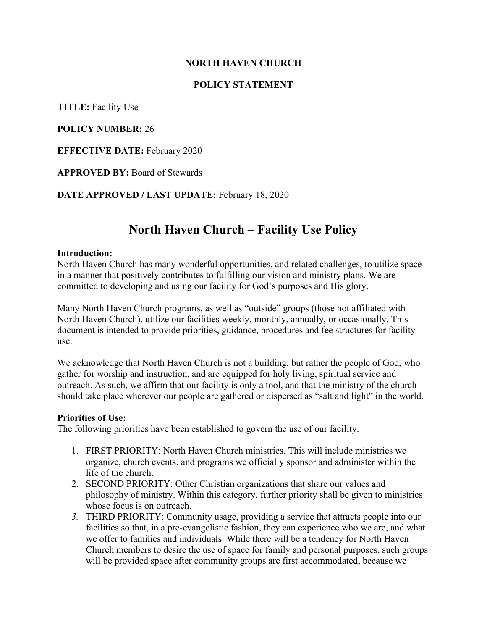## **NORTH HAVEN CHURCH**

## **POLICY STATEMENT**

**TITLE:** Facility Use

**POLICY NUMBER:** 26

**EFFECTIVE DATE:** February 2020

**APPROVED BY:** Board of Stewards

**DATE APPROVED / LAST UPDATE:** February 18, 2020

# **North Haven Church – Facility Use Policy**

#### **Introduction:**

North Haven Church has many wonderful opportunities, and related challenges, to utilize space in a manner that positively contributes to fulfilling our vision and ministry plans. We are committed to developing and using our facility for God's purposes and His glory.

Many North Haven Church programs, as well as "outside" groups (those not affiliated with North Haven Church), utilize our facilities weekly, monthly, annually, or occasionally. This document is intended to provide priorities, guidance, procedures and fee structures for facility use.

We acknowledge that North Haven Church is not a building, but rather the people of God, who gather for worship and instruction, and are equipped for holy living, spiritual service and outreach. As such, we affirm that our facility is only a tool, and that the ministry of the church should take place wherever our people are gathered or dispersed as "salt and light" in the world.

#### **Priorities of Use:**

The following priorities have been established to govern the use of our facility.

- 1. FIRST PRIORITY: North Haven Church ministries. This will include ministries we organize, church events, and programs we officially sponsor and administer within the life of the church.
- 2. SECOND PRIORITY: Other Christian organizations that share our values and philosophy of ministry. Within this category, further priority shall be given to ministries whose focus is on outreach.
- *3.* THIRD PRIORITY: Community usage, providing a service that attracts people into our facilities so that, in a pre-evangelistic fashion, they can experience who we are, and what we offer to families and individuals. While there will be a tendency for North Haven Church members to desire the use of space for family and personal purposes, such groups will be provided space after community groups are first accommodated, because we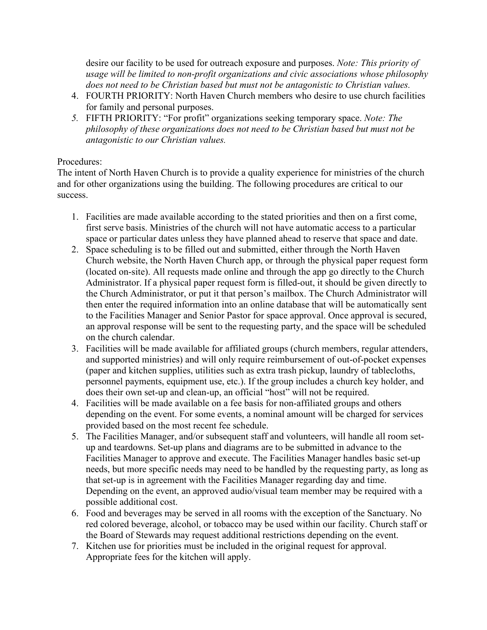desire our facility to be used for outreach exposure and purposes. *Note: This priority of usage will be limited to non-profit organizations and civic associations whose philosophy does not need to be Christian based but must not be antagonistic to Christian values.*

- 4. FOURTH PRIORITY: North Haven Church members who desire to use church facilities for family and personal purposes.
- *5.* FIFTH PRIORITY: "For profit" organizations seeking temporary space. *Note: The philosophy of these organizations does not need to be Christian based but must not be antagonistic to our Christian values.*

## Procedures:

The intent of North Haven Church is to provide a quality experience for ministries of the church and for other organizations using the building. The following procedures are critical to our success.

- 1. Facilities are made available according to the stated priorities and then on a first come, first serve basis. Ministries of the church will not have automatic access to a particular space or particular dates unless they have planned ahead to reserve that space and date.
- 2. Space scheduling is to be filled out and submitted, either through the North Haven Church website, the North Haven Church app, or through the physical paper request form (located on-site). All requests made online and through the app go directly to the Church Administrator. If a physical paper request form is filled-out, it should be given directly to the Church Administrator, or put it that person's mailbox. The Church Administrator will then enter the required information into an online database that will be automatically sent to the Facilities Manager and Senior Pastor for space approval. Once approval is secured, an approval response will be sent to the requesting party, and the space will be scheduled on the church calendar.
- 3. Facilities will be made available for affiliated groups (church members, regular attenders, and supported ministries) and will only require reimbursement of out-of-pocket expenses (paper and kitchen supplies, utilities such as extra trash pickup, laundry of tablecloths, personnel payments, equipment use, etc.). If the group includes a church key holder, and does their own set-up and clean-up, an official "host" will not be required.
- 4. Facilities will be made available on a fee basis for non-affiliated groups and others depending on the event. For some events, a nominal amount will be charged for services provided based on the most recent fee schedule.
- 5. The Facilities Manager, and/or subsequent staff and volunteers, will handle all room setup and teardowns. Set-up plans and diagrams are to be submitted in advance to the Facilities Manager to approve and execute. The Facilities Manager handles basic set-up needs, but more specific needs may need to be handled by the requesting party, as long as that set-up is in agreement with the Facilities Manager regarding day and time. Depending on the event, an approved audio/visual team member may be required with a possible additional cost.
- 6. Food and beverages may be served in all rooms with the exception of the Sanctuary. No red colored beverage, alcohol, or tobacco may be used within our facility. Church staff or the Board of Stewards may request additional restrictions depending on the event.
- 7. Kitchen use for priorities must be included in the original request for approval. Appropriate fees for the kitchen will apply.